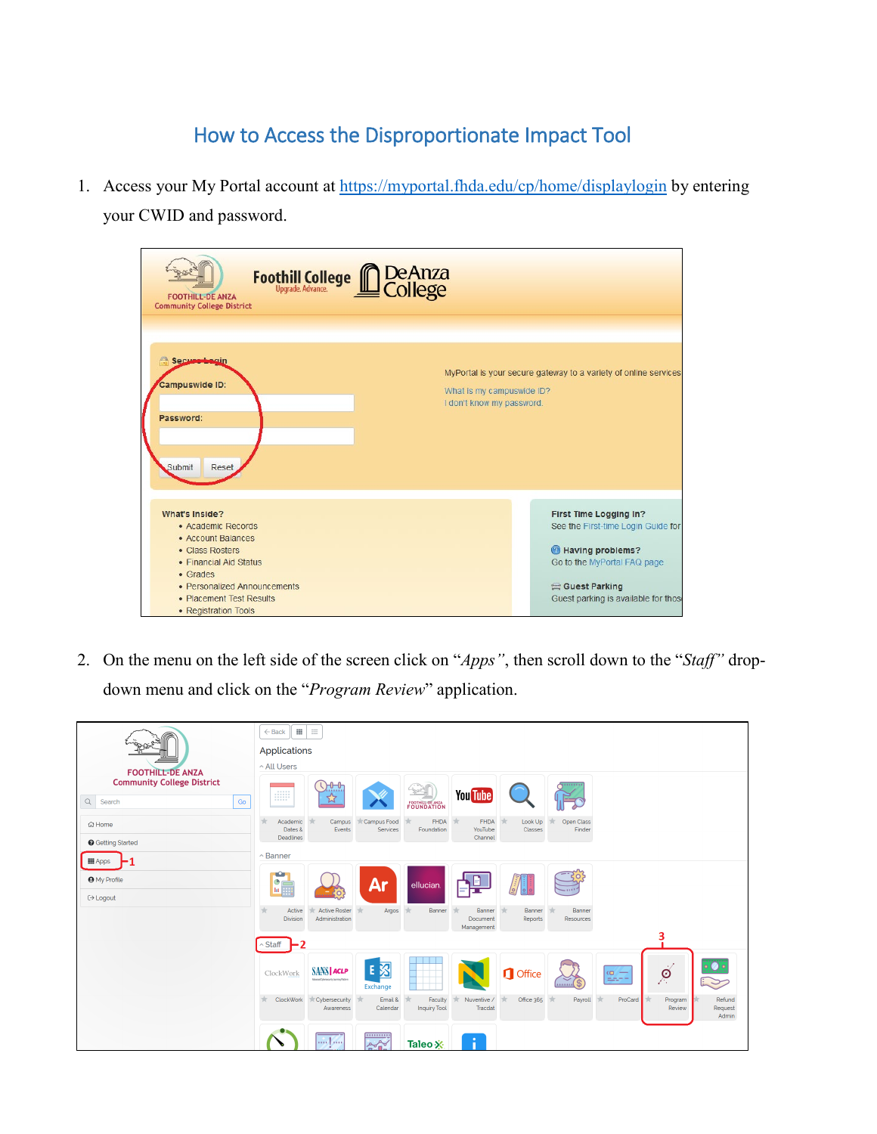## How to Access the Disproportionate Impact Tool

1. Access your My Portal account at<https://myportal.fhda.edu/cp/home/displaylogin> by entering your CWID and password.

| Foothill College <b>COLOGICA</b><br>College<br><b>FOOTHILL-DE ANZA</b><br><b>Community College District</b>                                                                                                    |                                                                                                                                                                          |
|----------------------------------------------------------------------------------------------------------------------------------------------------------------------------------------------------------------|--------------------------------------------------------------------------------------------------------------------------------------------------------------------------|
| A<br>Secure begin<br><b>Campuswide ID:</b><br>What is my campuswide ID?<br>I don't know my password.<br>Password:<br>Submit<br>Reset                                                                           | MyPortal is your secure gateway to a variety of online services                                                                                                          |
| <b>What's Inside?</b><br>· Academic Records<br>• Account Balances<br>• Class Rosters<br>• Financial Aid Status<br>• Grades<br>• Personalized Announcements<br>• Placement Test Results<br>• Registration Tools | First Time Logging In?<br>See the First-time Login Guide for<br>Having problems?<br>Go to the MyPortal FAQ page<br>Guest Parking<br>Guest parking is available for those |

2. On the menu on the left side of the screen click on "*Apps"*, then scroll down to the "*Staff"* dropdown menu and click on the "*Program Review*" application.

|                                                                                   | 亖<br>$\leftarrow$ Back<br><b>Applications</b><br>^ All Users                                                                                                                                                               |
|-----------------------------------------------------------------------------------|----------------------------------------------------------------------------------------------------------------------------------------------------------------------------------------------------------------------------|
| <b>FOOTHILL-DE ANZA</b><br><b>Community College District</b><br>Q<br>Go<br>Search | $Q_{\text{min}}$<br><br><b>You</b> Tube<br><b>BB</b><br><u>ৰ্ম্ম</u><br><b>FOUNDATION</b>                                                                                                                                  |
| <b>命 Home</b><br><b>O</b> Getting Started                                         | Campus Food<br><b>FHDA</b><br><b>FHDA</b><br>Open Class<br>Academic<br>Campus<br>Look Up<br>Dates &<br>Events<br>Foundation<br>YouTube<br>Classes<br>Finder<br>Services<br>Deadlines<br>Channel                            |
| <b>III</b> Apps<br>-1                                                             | $\land$ Banner                                                                                                                                                                                                             |
| <b>O</b> My Profile<br><b>□ Logout</b>                                            | $\mathbf{c}$<br>Ar<br><b>CE</b><br>ellucian.<br>$\begin{array}{c} \begin{array}{ c c }\hline z&z\\z&z\\z&z\\z&z\\z&z\end{array} \end{array}$                                                                               |
|                                                                                   | <b>Active Roster</b><br>Active<br>$\pm$<br>Banner<br>Banner<br>Banner<br>Argos<br>Banner<br>Administration<br><b>Division</b><br>Document<br>Reports<br>Resources<br>Management                                            |
|                                                                                   | 3<br>$\sim$ Staff                                                                                                                                                                                                          |
|                                                                                   | E 图<br>$\overline{\mathscr{A}}$<br><b>SANS ACLP</b><br><b>1</b> Office<br>ClockWork<br>$\omega -$<br>$m = -$<br>Atlanta@hersenrity Learning Pathers<br>$\sim$<br><br><b>Exchange</b>                                       |
|                                                                                   | ClockWork<br>Nuventive /<br>Office 365<br>$\pm$<br>Cybersecurity<br>Email &<br>Payroll<br>ProCard<br>Program<br>Refund<br>Faculty<br>Tracdat<br>Awareness<br>Calendar<br><b>Inquiry Tool</b><br>Review<br>Request<br>Admin |
|                                                                                   | 11111111111<br>$\frac{1}{2}$ and $\frac{1}{2}$ and $\frac{1}{2}$<br>÷<br>$2\sqrt{2}$<br>Taleo X                                                                                                                            |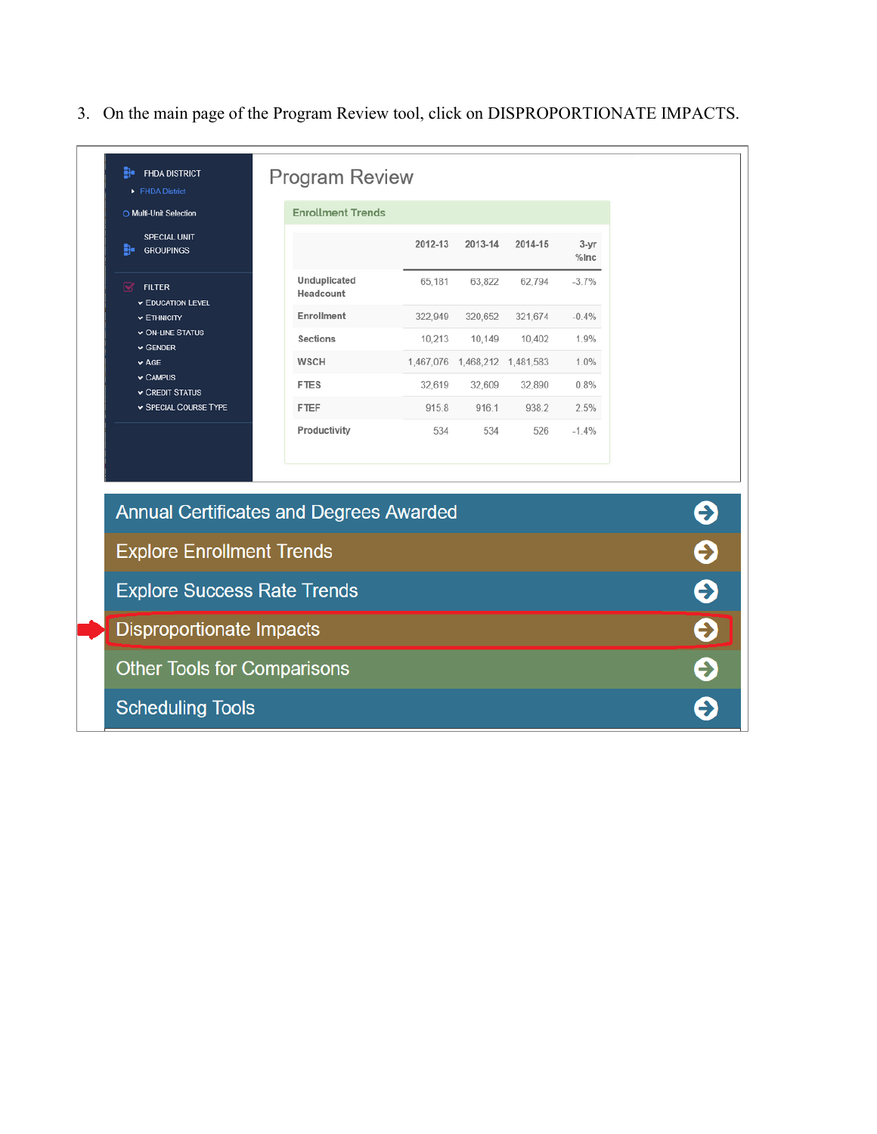3. On the main page of the Program Review tool, click on DISPROPORTIONATE IMPACTS.

| O Multi-Unit Selection                         | <b>Enrollment Trends</b>    |         |                                 |         |                     |   |
|------------------------------------------------|-----------------------------|---------|---------------------------------|---------|---------------------|---|
| SPECIAL UNIT<br>$\frac{1}{2}$ GROUPINGS        |                             | 2012-13 | 2013-14                         | 2014-15 | $3 - yr$<br>$%$ Inc |   |
| ☑<br><b>FILTER</b><br><b>EDUCATION LEVEL</b>   | Unduplicated<br>Headcount   | 65,181  | 63,822                          | 62,794  | $-3.7%$             |   |
| $\vee$ ETHNICITY                               | Enrollment                  | 322,949 | 320,652                         | 321,674 | $-0.4%$             |   |
| $\vee$ ON-LINE STATUS<br>$\vee$ GENDER         | <b>Sections</b>             | 10,213  | 10,149                          | 10,402  | 1.9%                |   |
| $\blacktriangleright$ AGE                      | <b>WSCH</b>                 |         | 1,467,076  1,468,212  1,481,583 |         | 1.0%                |   |
| $\vee$ CAMPUS<br><b>v CREDIT STATUS</b>        | <b>FTES</b>                 | 32,619  | 32,609                          | 32,890  | 0.8%                |   |
| SPECIAL COURSE TYPE                            | <b>FTEF</b><br>Productivity | 915.8   | 916.1                           | 938.2   | 2.5%                |   |
|                                                |                             |         |                                 |         |                     |   |
| <b>Annual Certificates and Degrees Awarded</b> |                             |         |                                 |         |                     | Э |
| <b>Explore Enrollment Trends</b>               |                             |         |                                 |         |                     | Ş |
| <b>Explore Success Rate Trends</b>             |                             |         |                                 |         |                     | Э |
| <b>Disproportionate Impacts</b>                |                             |         |                                 |         |                     | € |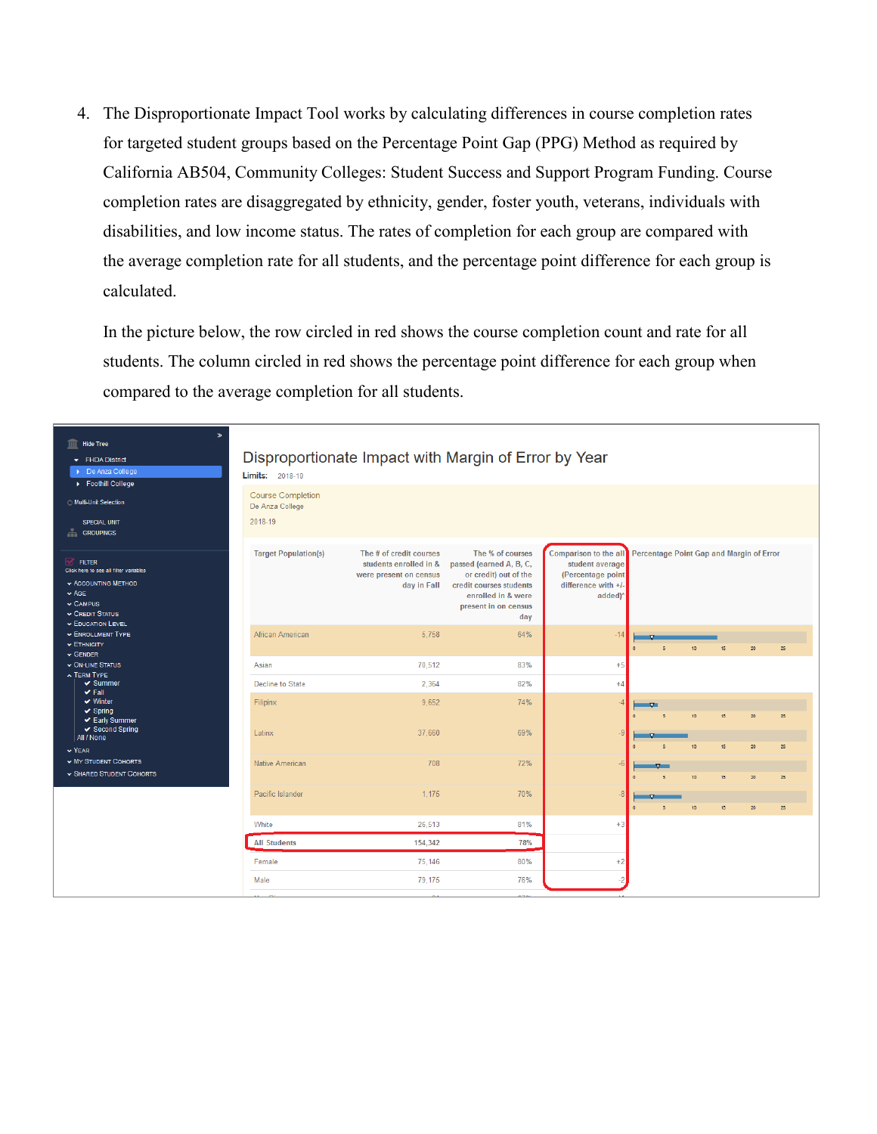4. The Disproportionate Impact Tool works by calculating differences in course completion rates for targeted student groups based on the Percentage Point Gap (PPG) Method as required by California AB504, Community Colleges: Student Success and Support Program Funding. Course completion rates are disaggregated by ethnicity, gender, foster youth, veterans, individuals with disabilities, and low income status. The rates of completion for each group are compared with the average completion rate for all students, and the percentage point difference for each group is calculated.

In the picture below, the row circled in red shows the course completion count and rate for all students. The column circled in red shows the percentage point difference for each group when compared to the average completion for all students.

| $\boldsymbol{v}$<br><b>Hide Tree</b><br>皿<br>FHDA District<br>De Anza College<br>Foothill College                                                                          | <b>Limits:</b> 2018-19                                 | Disproportionate Impact with Margin of Error by Year                                       |                                                                                                                                                      |                                                                                                 |          |            |                  |                                          |    |    |  |
|----------------------------------------------------------------------------------------------------------------------------------------------------------------------------|--------------------------------------------------------|--------------------------------------------------------------------------------------------|------------------------------------------------------------------------------------------------------------------------------------------------------|-------------------------------------------------------------------------------------------------|----------|------------|------------------|------------------------------------------|----|----|--|
| ◯ Multi-Unit Selection<br><b>SPECIAL UNIT</b><br>盂<br><b>GROUPINGS</b>                                                                                                     | <b>Course Completion</b><br>De Anza College<br>2018-19 |                                                                                            |                                                                                                                                                      |                                                                                                 |          |            |                  |                                          |    |    |  |
| $\sqrt{ }$ FILTER<br>Click here to see all filter variables<br>$\star$ ACCOUNTING METHOD<br>$\vee$ AGE.<br>$\vee$ CAMPUS<br>$\sim$ CREDIT STATUS<br><b>EDUCATION LEVEL</b> | <b>Target Population(s)</b>                            | The # of credit courses<br>students enrolled in &<br>were present on census<br>day in Fall | The % of courses<br>passed (earned A, B, C,<br>or credit) out of the<br>credit courses students<br>enrolled in & were<br>present in on census<br>day | Comparison to the all<br>student average<br>(Percentage point<br>difference with +/-<br>added)* |          |            |                  | Percentage Point Gap and Margin of Error |    |    |  |
| <b>ENROLLMENT TYPE</b><br>$\star$ ETHNICITY<br>$\vee$ GENDER                                                                                                               | African American                                       | 5.758                                                                                      | 64%                                                                                                                                                  | $-14$                                                                                           | $\Omega$ | $\epsilon$ | 10               | 15                                       | 20 | 25 |  |
| $\sim$ ON-LINE STATUS                                                                                                                                                      | Asian                                                  | 70,512                                                                                     | 83%                                                                                                                                                  | $+5$                                                                                            |          |            |                  |                                          |    |    |  |
| <b>A TERM TYPE</b><br>$\vee$ Summer                                                                                                                                        | Decline to State                                       | 2.364                                                                                      | 82%                                                                                                                                                  | $+4$                                                                                            |          |            |                  |                                          |    |    |  |
| $\vee$ Fall<br>$\vee$ Winter<br>$\vee$ Spring<br>← Early Summer                                                                                                            | Filipinx                                               | 9.652                                                                                      | 74%                                                                                                                                                  |                                                                                                 |          |            | 10               | 15                                       | 20 | 25 |  |
| ✔ Second Spring<br>All / None<br>$\vee$ YEAR                                                                                                                               | Latinx                                                 | 37,660                                                                                     | 69%                                                                                                                                                  | $\overline{\phantom{a}}$                                                                        |          |            | 10               | 15                                       | 20 | 25 |  |
| <b>WY STUDENT COHORTS</b><br>SHARED STUDENT COHORTS                                                                                                                        | Native American                                        | 708                                                                                        | 72%                                                                                                                                                  | -6                                                                                              |          |            | 10 <sub>10</sub> | 15                                       | 20 | 25 |  |
|                                                                                                                                                                            | Pacific Islander                                       | 1,175                                                                                      | 70%                                                                                                                                                  |                                                                                                 |          | $\epsilon$ | 10 <sup>°</sup>  | 15                                       | 20 | 25 |  |
|                                                                                                                                                                            | White                                                  | 26,513                                                                                     | 81%                                                                                                                                                  | $+3$                                                                                            |          |            |                  |                                          |    |    |  |
|                                                                                                                                                                            | <b>All Students</b>                                    | 154,342                                                                                    | 78%                                                                                                                                                  |                                                                                                 |          |            |                  |                                          |    |    |  |
|                                                                                                                                                                            | Female                                                 | 75,146                                                                                     | 80%                                                                                                                                                  | $+2$                                                                                            |          |            |                  |                                          |    |    |  |
|                                                                                                                                                                            | Male                                                   | 79,175                                                                                     | 76%                                                                                                                                                  |                                                                                                 |          |            |                  |                                          |    |    |  |
|                                                                                                                                                                            | $\mathbf{A}$<br>$\blacksquare$                         | n.                                                                                         | 0.701                                                                                                                                                |                                                                                                 |          |            |                  |                                          |    |    |  |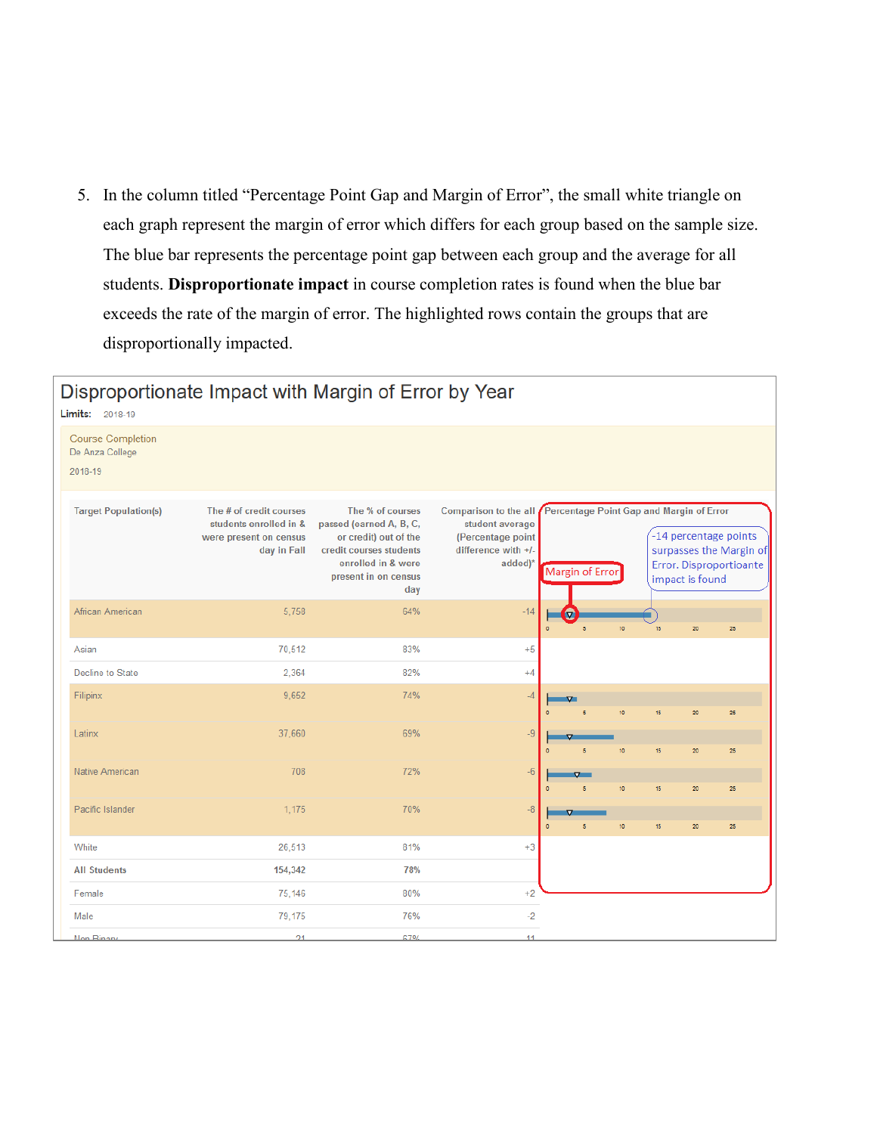5. In the column titled "Percentage Point Gap and Margin of Error", the small white triangle on each graph represent the margin of error which differs for each group based on the sample size. The blue bar represents the percentage point gap between each group and the average for all students. **Disproportionate impact** in course completion rates is found when the blue bar exceeds the rate of the margin of error. The highlighted rows contain the groups that are disproportionally impacted.

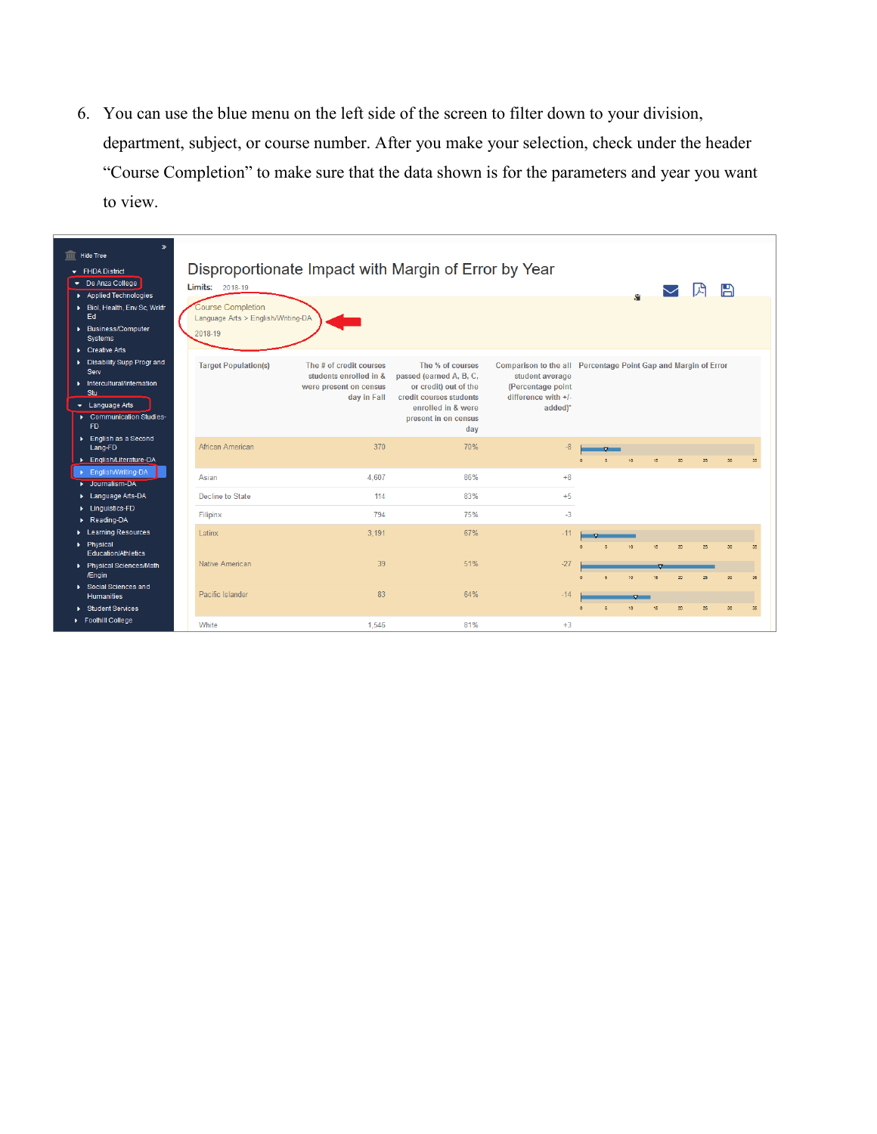6. You can use the blue menu on the left side of the screen to filter down to your division, department, subject, or course number. After you make your selection, check under the header "Course Completion" to make sure that the data shown is for the parameters and year you want to view.

| <b>TITT</b> Hide Tree<br>$\blacktriangleright$ FHDA District<br>De Anza College<br>Applied Technologies<br>▶ Biol, Health, Env Sc, Wrkfr<br>Ed<br>▶ Business/Computer<br>Systems<br>$\triangleright$ Creative Arts | $\mathbf{v}$ | <b>Limits:</b> 2018-19<br><b>Course Completion</b><br>Language Arts > English/Writing-DA<br>2018-19 | Disproportionate Impact with Margin of Error by Year                                       |                                                                                                                                                      |                                                                                                                                            |    |    |    |                          | 凹  | A  |    |
|--------------------------------------------------------------------------------------------------------------------------------------------------------------------------------------------------------------------|--------------|-----------------------------------------------------------------------------------------------------|--------------------------------------------------------------------------------------------|------------------------------------------------------------------------------------------------------------------------------------------------------|--------------------------------------------------------------------------------------------------------------------------------------------|----|----|----|--------------------------|----|----|----|
| Disability Supp Progr and<br>Serv<br>Intercultural/Internation<br>Stu<br>$\bullet$ Language Arts<br>Communication Studies-<br>F <sub>D</sub>                                                                       |              | <b>Target Population(s)</b>                                                                         | The # of credit courses<br>students enrolled in &<br>were present on census<br>day in Fall | The % of courses<br>passed (earned A, B, C,<br>or credit) out of the<br>credit courses students<br>enrolled in & were<br>present in on census<br>day | Comparison to the all Percentage Point Gap and Margin of Error<br>student average<br>(Percentage point<br>difference with $+/-$<br>added)* |    |    |    |                          |    |    |    |
| ▶ English as a Second<br>Lang-FD<br>English/Literature-DA                                                                                                                                                          |              | African American                                                                                    | 370                                                                                        | 70%                                                                                                                                                  | $-8$                                                                                                                                       | ò. |    | 15 | $\overline{\mathcal{N}}$ | 25 |    | 35 |
| ▶ English/Writing-DA<br>De Journalism-DA                                                                                                                                                                           |              | Asian                                                                                               | 4.607                                                                                      | 86%                                                                                                                                                  | $+8$                                                                                                                                       |    |    |    |                          |    |    |    |
| Language Arts-DA<br>Linguistics-FD                                                                                                                                                                                 |              | Decline to State                                                                                    | 114                                                                                        | 83%                                                                                                                                                  | $+5$                                                                                                                                       |    |    |    |                          |    |    |    |
| Reading-DA                                                                                                                                                                                                         |              | Filipinx                                                                                            | 794                                                                                        | 75%                                                                                                                                                  | $-3$                                                                                                                                       |    |    |    |                          |    |    |    |
| ▶ Learning Resources<br>Physical<br><b>Education/Athletics</b>                                                                                                                                                     |              | Latinx                                                                                              | 3.191                                                                                      | 67%                                                                                                                                                  | $-11$                                                                                                                                      |    |    | 15 |                          |    |    |    |
| ▶ Physical Sciences/Math<br>/Engin                                                                                                                                                                                 |              | <b>Native American</b>                                                                              | 39                                                                                         | 51%                                                                                                                                                  | $-27$                                                                                                                                      |    | 10 | 15 | 20                       | 25 | 30 | 35 |
| Social Sciences and<br><b>Humanities</b>                                                                                                                                                                           |              | Pacific Islander                                                                                    | 83                                                                                         | 64%                                                                                                                                                  | $-14$                                                                                                                                      |    |    |    |                          |    |    |    |
| ▶ Student Services<br>Foothill College                                                                                                                                                                             |              | White                                                                                               | 1.546                                                                                      | 81%                                                                                                                                                  | $+3$                                                                                                                                       |    |    | 18 | $\overline{\mathcal{N}}$ | 25 | 30 | 35 |